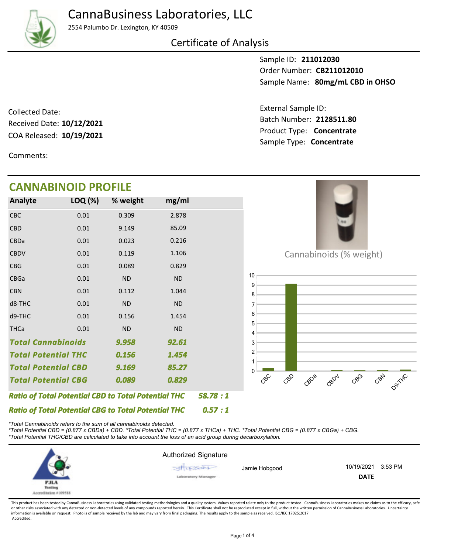2554 Palumbo Dr. Lexington, KY 40509

#### Certificate of Analysis

Sample ID: **211012030** Sample Name: 80mg/mL CBD in OHSO Order Number: **CB211012010**

COA Released: 10/19/2021 Collected Date: Received Date: **10/12/2021**

Product Type: **Concentrate 10/19/2021** Batch Number: **2128511.80** External Sample ID: Sample Type: **Concentrate**

Comments:

# **CANNABINOID PROFILE**

| Analyte     | LOQ (%)                                                                                                                                                                                                                                         | % weight  | mg/ml     |  |
|-------------|-------------------------------------------------------------------------------------------------------------------------------------------------------------------------------------------------------------------------------------------------|-----------|-----------|--|
| CBC         | 0.01                                                                                                                                                                                                                                            | 0.309     | 2.878     |  |
| <b>CBD</b>  | 0.01                                                                                                                                                                                                                                            | 9.149     | 85.09     |  |
| CBDa        | 0.01                                                                                                                                                                                                                                            | 0.023     | 0.216     |  |
| <b>CBDV</b> | 0.01                                                                                                                                                                                                                                            | 0.119     | 1.106     |  |
| <b>CBG</b>  | 0.01                                                                                                                                                                                                                                            | 0.089     | 0.829     |  |
| <b>CBGa</b> | 0.01                                                                                                                                                                                                                                            | <b>ND</b> | <b>ND</b> |  |
| <b>CBN</b>  | 0.01                                                                                                                                                                                                                                            | 0.112     | 1.044     |  |
| d8-THC      | 0.01                                                                                                                                                                                                                                            | <b>ND</b> | <b>ND</b> |  |
| d9-THC      | 0.01                                                                                                                                                                                                                                            | 0.156     | 1.454     |  |
| <b>THCa</b> | 0.01                                                                                                                                                                                                                                            | <b>ND</b> | <b>ND</b> |  |
|             |                                                                                                                                                                                                                                                 | 9.958     | 92.61     |  |
|             |                                                                                                                                                                                                                                                 | 0.156     | 1.454     |  |
|             |                                                                                                                                                                                                                                                 | 9.169     | 85.27     |  |
|             |                                                                                                                                                                                                                                                 | 0.089     | 0.829     |  |
|             | <b>Total Cannabinoids</b><br><b>Total Potential THC</b><br><b>Total Potential CBD</b><br><b>Total Potential CBG</b><br><b>Ratio of Total Potential CBD to Total Potential THC</b><br><b>Ratio of Total Potential CBG to Total Potential THC</b> |           | 58.78:1   |  |
|             | 0.57:1                                                                                                                                                                                                                                          |           |           |  |



Cannabinoids (% weight)



*\*Total Cannabinoids refers to the sum of all cannabinoids detected.*

*\*Total Potential CBD = (0.877 x CBDa) + CBD. \*Total Potential THC = (0.877 x THCa) + THC. \*Total Potential CBG = (0.877 x CBGa) + CBG. \*Total Potential THC/CBD are calculated to take into account the loss of an acid group during decarboxylation.*



This product has been tested by CannaBusiness Laboratories using validated testing methodologies and a quality system. Values reported relate only to the product tested. CannaBusiness Laboratories makes no claims as to the or other risks associated with any detected or non-detected levels of any compounds reported herein. This Certificate shall not be reproduced except in full, without the written permission of CannaBusiness Laboratories. Un information is available on request. Photo is of sample received by the lab and may vary from final packaging. The results apply to the sample as received. ISO/IEC 17025:2017 Accredited.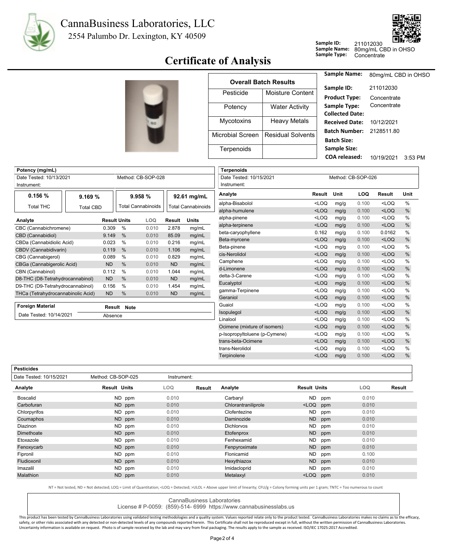



## **Sample Type:** Concentrate **Certificate of Analysis**

|                  |                              | <b>Sample Name:</b>                        | 80mg/mL CBD in OHSO |           |
|------------------|------------------------------|--------------------------------------------|---------------------|-----------|
|                  | <b>Overall Batch Results</b> | Sample ID:                                 | 211012030           |           |
| Pesticide        | Moisture Content             | <b>Product Type:</b>                       | Concentrate         |           |
| Potency          | <b>Water Activity</b>        | Sample Type:<br><b>Collected Date:</b>     | Concentrate         |           |
| Mycotoxins       | <b>Heavy Metals</b>          | <b>Received Date:</b>                      | 10/12/2021          |           |
| Microbial Screen | <b>Residual Solvents</b>     | <b>Batch Number:</b><br><b>Batch Size:</b> | 2128511.80          |           |
| Terpenoids       |                              | <b>Sample Size:</b>                        |                     |           |
|                  |                              | <b>COA</b> released:                       | 10/19/2021          | $3.53$ PM |

**Sample ID:**

Terpinolene <LOQ mg/g 0.100 <LOQ %

| Potency (mg/mL)                      |           |                     |                           |               |                           | <b>Terpenoids</b>             |         |      |                    |         |      |
|--------------------------------------|-----------|---------------------|---------------------------|---------------|---------------------------|-------------------------------|---------|------|--------------------|---------|------|
| Date Tested: 10/13/2021              |           |                     | Method: CB-SOP-028        |               |                           | Date Tested: 10/15/2021       |         |      | Method: CB-SOP-026 |         |      |
| Instrument:                          |           |                     |                           |               |                           | Instrument:                   |         |      |                    |         |      |
| 0.156%<br>9.169%                     |           |                     | 9.958 %                   |               | 92.61 mg/mL               | Analyte                       | Result  | Unit | LOQ                | Result  | Unit |
|                                      |           |                     | <b>Total Cannabinoids</b> |               |                           | alpha-Bisabolol               | $<$ LOQ | mg/g | 0.100              | $<$ LOQ | %    |
| <b>Total THC</b><br><b>Total CBD</b> |           |                     |                           |               | <b>Total Cannabinoids</b> | alpha-humulene                | $<$ LOQ | mg/g | 0.100              | $<$ LOQ | $\%$ |
| Analyte                              |           | <b>Result Units</b> | LOQ                       | <b>Result</b> | <b>Units</b>              | alpha-pinene                  | $<$ LOQ | mg/g | 0.100              | $<$ LOQ | %    |
| CBC (Cannabichromene)                | 0.309     | %                   | 0.010                     | 2.878         | mg/mL                     | alpha-terpinene               | $<$ LOQ | mg/g | 0.100              | $<$ LOQ | $\%$ |
| CBD (Cannabidiol)                    | 9.149     | %                   | 0.010                     | 85.09         | mg/mL                     | beta-caryophyllene            | 0.162   | mg/g | 0.100              | 0.0162  | $\%$ |
| CBDa (Cannabidiolic Acid)            | 0.023     | %                   | 0.010                     | 0.216         | mg/mL                     | Beta-myrcene                  | $<$ LOQ | mg/g | 0.100              | $<$ LOQ | $\%$ |
| CBDV (Cannabidivarin)                | 0.119     | %                   | 0.010                     | 1.106         | mg/mL                     | Beta-pinene                   | $<$ LOQ | mg/g | 0.100              | $<$ LOQ | $\%$ |
| CBG (Cannabigerol)                   | 0.089     | %                   | 0.010                     | 0.829         | mg/mL                     | cis-Nerolidol                 | $<$ LOQ | mg/g | 0.100              | $<$ LOQ | $\%$ |
| CBGa (Cannabigerolic Acid)           | <b>ND</b> | %                   | 0.010                     | <b>ND</b>     | mg/mL                     | Camphene                      | $<$ LOQ | mg/g | 0.100              | $<$ LOQ | $\%$ |
| CBN (Cannabinol)                     | 0.112     | %                   | 0.010                     | 1.044         | mg/mL                     | d-Limonene                    | $<$ LOQ | mg/g | 0.100              | $<$ LOQ | $\%$ |
| D8-THC (D8-Tetrahydrocannabinol)     | <b>ND</b> | %                   | 0.010                     | <b>ND</b>     | mg/mL                     | delta-3-Carene                | $<$ LOQ | mg/g | 0.100              | $<$ LOQ | $\%$ |
| D9-THC (D9-Tetrahydrocannabinol)     | 0.156     | %                   | 0.010                     | 1.454         | mg/mL                     | Eucalyptol                    | $<$ LOQ | mg/g | 0.100              | $<$ LOQ | $\%$ |
| THCa (Tetrahydrocannabinolic Acid)   | <b>ND</b> | %                   | 0.010                     | <b>ND</b>     | mg/mL                     | gamma-Terpinene               | $<$ LOQ | mg/g | 0.100              | $<$ LOQ | $\%$ |
|                                      |           |                     |                           |               |                           | Geraniol                      | $<$ LOQ | mg/g | 0.100              | $<$ LOQ | $\%$ |
| <b>Foreign Material</b>              |           | Result Note         |                           |               |                           | Guaiol                        | $<$ LOQ | mg/g | 0.100              | $<$ LOQ | $\%$ |
| Date Tested: 10/14/2021              | Absence   |                     |                           |               |                           | Isopulegol                    | $<$ LOQ | mg/g | 0.100              | $<$ LOQ | $\%$ |
|                                      |           |                     |                           |               |                           | Linalool                      | $<$ LOQ | mg/g | 0.100              | $<$ LOQ | $\%$ |
|                                      |           |                     |                           |               |                           | Ocimene (mixture of isomers)  | $<$ LOQ | mg/g | 0.100              | $<$ LOQ | $\%$ |
|                                      |           |                     |                           |               |                           | p-Isopropyltoluene (p-Cymene) | $<$ LOQ | mg/g | 0.100              | $<$ LOQ | $\%$ |
|                                      |           |                     |                           |               |                           | trans-beta-Ocimene            | $<$ LOQ | mg/g | 0.100              | $<$ LOQ | $\%$ |
|                                      |           |                     |                           |               |                           | trans-Nerolidol               | $<$ LOQ | mg/g | 0.100              | $<$ LOQ | $\%$ |

**Pesticides**

| <b>Pesticides</b>       |                     |             |        |                     |                     |     |       |        |
|-------------------------|---------------------|-------------|--------|---------------------|---------------------|-----|-------|--------|
| Date Tested: 10/15/2021 | Method: CB-SOP-025  | Instrument: |        |                     |                     |     |       |        |
| Analyte                 | <b>Result Units</b> | LOQ         | Result | Analyte             | <b>Result Units</b> |     | LOQ   | Result |
| <b>Boscalid</b>         | ND ppm              | 0.010       |        | Carbaryl            | <b>ND</b>           | ppm | 0.010 |        |
| Carbofuran              | ND ppm              | 0.010       |        | Chlorantraniliprole | $<$ LOQ             | ppm | 0.010 |        |
| Chlorpyrifos            | ND ppm              | 0.010       |        | Clofentezine        | <b>ND</b>           | ppm | 0.010 |        |
| Coumaphos               | ND ppm              | 0.010       |        | Daminozide          | ND                  | ppm | 0.010 |        |
| Diazinon                | ND ppm              | 0.010       |        | <b>Dichlorvos</b>   | ND                  | ppm | 0.010 |        |
| Dimethoate              | ND ppm              | 0.010       |        | Etofenprox          | ND                  | ppm | 0.010 |        |
| Etoxazole               | ND ppm              | 0.010       |        | Fenhexamid          | ND.                 | ppm | 0.010 |        |
| Fenoxycarb              | ND ppm              | 0.010       |        | Fenpyroximate       | <b>ND</b>           | ppm | 0.010 |        |
| Fipronil                | ND ppm              | 0.010       |        | Flonicamid          | ND                  | ppm | 0.100 |        |
| Fludioxonil             | ND ppm              | 0.010       |        | Hexythiazox         | ND.                 | ppm | 0.010 |        |
| Imazalil                | ND ppm              | 0.010       |        | Imidacloprid        | <b>ND</b>           | ppm | 0.010 |        |
| Malathion               | ND ppm              | 0.010       |        | Metalaxyl           | $<$ LOQ             | ppm | 0.010 |        |
|                         |                     |             |        |                     |                     |     |       |        |

NT = Not tested, ND = Not detected; LOQ = Limit of Quantitation; <LOQ = Detected; >ULOL = Above upper limit of linearity; CFU/g = Colony forming units per 1 gram; TNTC = Too numerous to count

CannaBusiness Laboratories

License # P-0059: (859)-514- 6999 https://www.cannabusinesslabs.us

This product has been tested by CannaBusiness Laboratories using validated testing methodologies and a quality system. Values reported relate only to the product tested. CannaBusiness Laboratories makes no claims as to the safety, or other risks associated with any detected or non-detected levels of any compounds reported herein. This Certificate shall not be reproduced except in full, without the written permission of CannaBusiness Laborato Uncertainty information is available on request. Photo is of sample received by the lab and may vary from final packaging. The results apply to the sample as received. ISO/IEC 17025:2017 Accredited.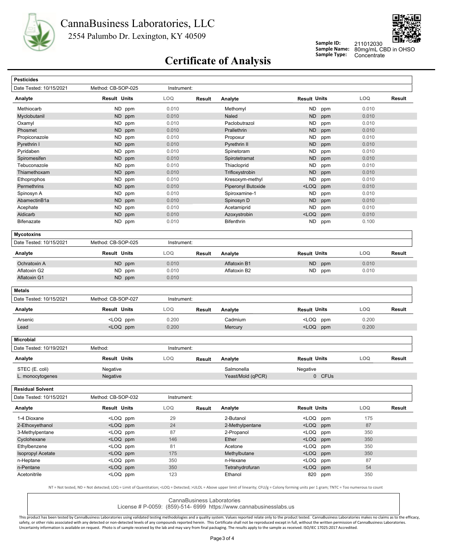



**Sample ID: Sample Name:**

80mg/mL CBD in OHSO 211012030

# **Sample Type:** Concentrate **Certificate of Analysis**

| <b>Pesticides</b>                                                          |                                                                                                                                      |             |               |                    |                                                  |            |        |
|----------------------------------------------------------------------------|--------------------------------------------------------------------------------------------------------------------------------------|-------------|---------------|--------------------|--------------------------------------------------|------------|--------|
| Date Tested: 10/15/2021                                                    | Method: CB-SOP-025                                                                                                                   | Instrument: |               |                    |                                                  |            |        |
| Analyte                                                                    | Result Units                                                                                                                         | LOQ         | Result        | Analyte            | <b>Result Units</b>                              | LOQ        | Result |
| Methiocarb                                                                 | ND ppm                                                                                                                               | 0.010       |               | Methomyl           | ND<br>ppm                                        | 0.010      |        |
| Myclobutanil                                                               | ND ppm                                                                                                                               | 0.010       |               | <b>Naled</b>       | <b>ND</b><br>ppm                                 | 0.010      |        |
| Oxamyl                                                                     | ND ppm                                                                                                                               | 0.010       |               | Paclobutrazol      | <b>ND</b><br>ppm                                 | 0.010      |        |
| Phosmet                                                                    | <b>ND</b><br>ppm                                                                                                                     | 0.010       |               | Prallethrin        | <b>ND</b><br>ppm                                 | 0.010      |        |
| Propiconazole                                                              | ND<br>ppm                                                                                                                            | 0.010       |               | Propoxur           | <b>ND</b><br>ppm                                 | 0.010      |        |
| Pyrethrin I                                                                | ND ppm                                                                                                                               | 0.010       |               | Pyrethrin II       | <b>ND</b><br>ppm                                 | 0.010      |        |
| Pyridaben                                                                  | <b>ND</b><br>ppm                                                                                                                     | 0.010       |               | Spinetoram         | <b>ND</b><br>ppm                                 | 0.010      |        |
| Spiromesifen                                                               | ND ppm                                                                                                                               | 0.010       |               | Spirotetramat      | <b>ND</b><br>ppm                                 | 0.010      |        |
| Tebuconazole                                                               | ND ppm                                                                                                                               | 0.010       |               | Thiacloprid        | <b>ND</b><br>ppm                                 | 0.010      |        |
| Thiamethoxam                                                               | ND<br>ppm                                                                                                                            | 0.010       |               | Trifloxystrobin    | <b>ND</b><br>ppm                                 | 0.010      |        |
| Ethoprophos                                                                | ND ppm                                                                                                                               | 0.010       |               | Kresoxym-methyl    | <b>ND</b><br>ppm                                 | 0.010      |        |
| Permethrins                                                                | ND<br>ppm                                                                                                                            | 0.010       |               | Piperonyl Butoxide | $<$ LOQ<br>ppm                                   | 0.010      |        |
| Spinosyn A                                                                 | ND<br>ppm                                                                                                                            | 0.010       |               | Spiroxamine-1      | ND<br>ppm                                        | 0.010      |        |
| AbamectinB1a                                                               | ND ppm                                                                                                                               | 0.010       |               | Spinosyn D         | <b>ND</b><br>ppm                                 | 0.010      |        |
| Acephate                                                                   | ND.<br>ppm                                                                                                                           | 0.010       |               | Acetamiprid        | <b>ND</b><br>ppm                                 | 0.010      |        |
| Aldicarb                                                                   | ND.<br>ppm                                                                                                                           | 0.010       |               | Azoxystrobin       | $<$ LOQ<br>ppm                                   | 0.010      |        |
| <b>Bifenazate</b>                                                          | ND ppm                                                                                                                               | 0.010       |               | Bifenthrin         | ND<br>ppm                                        | 0.100      |        |
| <b>Mycotoxins</b>                                                          |                                                                                                                                      |             |               |                    |                                                  |            |        |
| Date Tested: 10/15/2021                                                    | Method: CB-SOP-025                                                                                                                   | Instrument: |               |                    |                                                  |            |        |
| Analyte                                                                    | <b>Result Units</b>                                                                                                                  | LOQ         | <b>Result</b> | Analyte            | <b>Result Units</b>                              | LOQ        | Result |
| Ochratoxin A                                                               | ND ppm                                                                                                                               | 0.010       |               | Aflatoxin B1       | <b>ND</b><br>ppm                                 | 0.010      |        |
| Aflatoxin G2                                                               | ND ppm                                                                                                                               | 0.010       |               | Aflatoxin B2       | ND<br>ppm                                        | 0.010      |        |
| Aflatoxin G1                                                               | ND ppm                                                                                                                               | 0.010       |               |                    |                                                  |            |        |
| <b>Metals</b>                                                              |                                                                                                                                      |             |               |                    |                                                  |            |        |
| Date Tested: 10/15/2021                                                    | Method: CB-SOP-027                                                                                                                   | Instrument: |               |                    |                                                  |            |        |
| Analyte                                                                    | Result Units                                                                                                                         | LOQ.        | Result        | Analyte            | <b>Result Units</b>                              | <b>LOQ</b> | Result |
| Arsenic                                                                    | <loq ppm<="" td=""><td>0.200</td><td></td><td>Cadmium</td><td><loq<br>ppm</loq<br></td><td>0.200</td><td></td></loq>                 | 0.200       |               | Cadmium            | <loq<br>ppm</loq<br>                             | 0.200      |        |
| Lead                                                                       | <loq ppm<="" td=""><td>0.200</td><td></td><td>Mercury</td><td><loq ppm<="" td=""><td>0.200</td><td></td></loq></td></loq>            | 0.200       |               | Mercury            | <loq ppm<="" td=""><td>0.200</td><td></td></loq> | 0.200      |        |
| <b>Microbial</b>                                                           |                                                                                                                                      |             |               |                    |                                                  |            |        |
| Date Tested: 10/19/2021                                                    | Method:                                                                                                                              | Instrument: |               |                    |                                                  |            |        |
| Analyte                                                                    | <b>Result Units</b>                                                                                                                  | <b>LOQ</b>  | <b>Result</b> | Analyte            | <b>Result Units</b>                              | LOQ        | Result |
| STEC (E. coli)                                                             | Negative                                                                                                                             |             |               | Salmonella         | Negative                                         |            |        |
|                                                                            |                                                                                                                                      |             |               |                    |                                                  |            |        |
|                                                                            | Negative                                                                                                                             |             |               | Yeast/Mold (qPCR)  | 0 CFUs                                           |            |        |
| L. monocytogenes                                                           |                                                                                                                                      |             |               |                    |                                                  |            |        |
|                                                                            | Method: CB-SOP-032                                                                                                                   | Instrument: |               |                    |                                                  |            |        |
|                                                                            | <b>Result Units</b>                                                                                                                  | LOQ         | Result        | Analyte            | <b>Result Units</b>                              | LOQ        |        |
| 1-4 Dioxane                                                                | <loq ppm<="" td=""><td>29</td><td></td><td>2-Butanol</td><td><loq ppm<="" td=""><td>175</td><td></td></loq></td></loq>               | 29          |               | 2-Butanol          | <loq ppm<="" td=""><td>175</td><td></td></loq>   | 175        |        |
|                                                                            | <loq ppm<="" td=""><td>24</td><td></td><td>2-Methylpentane</td><td><math>&lt;</math>LOQ<br/>ppm</td><td>87</td><td>Result</td></loq> | 24          |               | 2-Methylpentane    | $<$ LOQ<br>ppm                                   | 87         | Result |
|                                                                            | <loq ppm<="" td=""><td>87</td><td></td><td>2-Propanol</td><td><loq ppm<="" td=""><td>350</td><td></td></loq></td></loq>              | 87          |               | 2-Propanol         | <loq ppm<="" td=""><td>350</td><td></td></loq>   | 350        |        |
|                                                                            | <loq ppm<="" td=""><td>146</td><td></td><td>Ether</td><td><loq ppm<="" td=""><td>350</td><td></td></loq></td></loq>                  | 146         |               | Ether              | <loq ppm<="" td=""><td>350</td><td></td></loq>   | 350        |        |
| 3-Methylpentane<br>Cyclohexane<br>Ethylbenzene                             | <loq ppm<="" td=""><td>81</td><td></td><td>Acetone</td><td><math>&lt;</math>LOQ<br/>ppm</td><td>350</td><td></td></loq>              | 81          |               | Acetone            | $<$ LOQ<br>ppm                                   | 350        |        |
| <b>Isopropyl Acetate</b>                                                   | <loq ppm<="" td=""><td>175</td><td></td><td>Methylbutane</td><td><loq ppm<="" td=""><td>350</td><td></td></loq></td></loq>           | 175         |               | Methylbutane       | <loq ppm<="" td=""><td>350</td><td></td></loq>   | 350        |        |
| 2-Ethoxyethanol<br>n-Heptane                                               | <loq ppm<="" td=""><td>350</td><td></td><td>n-Hexane</td><td><loq<br>ppm</loq<br></td><td>87</td><td></td></loq>                     | 350         |               | n-Hexane           | <loq<br>ppm</loq<br>                             | 87         |        |
| <b>Residual Solvent</b><br>Date Tested: 10/15/2021<br>Analyte<br>n-Pentane | <loq ppm<="" td=""><td>350</td><td></td><td>Tetrahydrofuran</td><td><math>&lt;</math>LOQ<br/>ppm</td><td>54</td><td></td></loq>      | 350         |               | Tetrahydrofuran    | $<$ LOQ<br>ppm                                   | 54         |        |

CannaBusiness Laboratories

License # P-0059: (859)-514- 6999 https://www.cannabusinesslabs.us

This product has been tested by CannaBusiness Laboratories using validated testing methodologies and a quality system. Values reported relate only to the product tested. CannaBusiness Laboratories makes no claims as to the safety, or other risks associated with any detected or non-detected levels of any compounds reported herein. This Certificate shall not be reproduced except in full, without the written permission of CannaBusiness Laborato Uncertainty information is available on request. Photo is of sample received by the lab and may vary from final packaging. The results apply to the sample as received. ISO/IEC 17025:2017 Accredited.